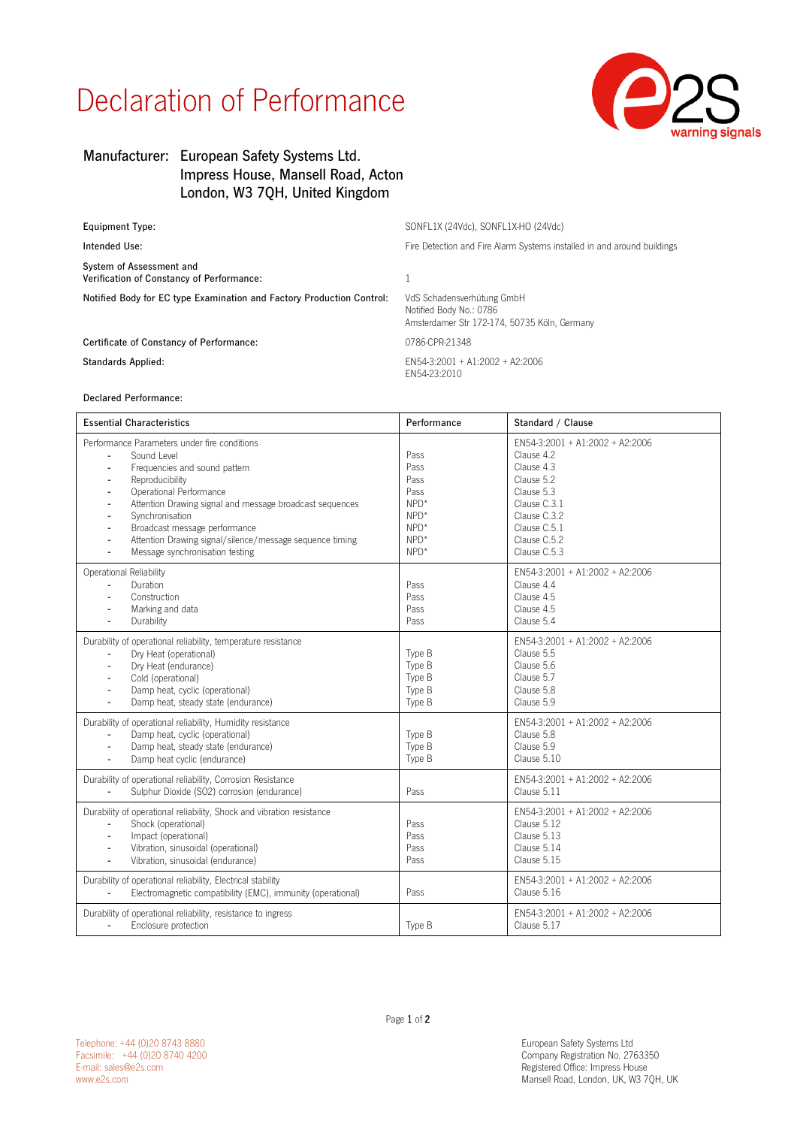## Declaration of Performance



## Manufacturer: European Safety Systems Ltd. Impress House, Mansell Road, Acton London, W3 7QH, United Kingdom

| Equipment Type:                                                       | SONFL1X (24Vdc), SONFL1X-HO (24Vdc)                                                                   |  |
|-----------------------------------------------------------------------|-------------------------------------------------------------------------------------------------------|--|
| Intended Use:                                                         | Fire Detection and Fire Alarm Systems installed in and around buildings                               |  |
| System of Assessment and<br>Verification of Constancy of Performance: |                                                                                                       |  |
| Notified Body for EC type Examination and Factory Production Control: | VdS Schadensverhütung GmbH<br>Notified Body No.: 0786<br>Amsterdamer Str 172-174, 50735 Köln, Germany |  |
| Certificate of Constancy of Performance:                              | 0786-CPR-21348                                                                                        |  |
| Standards Applied:                                                    | $FN54-3:2001 + A1:2002 + A2:2006$<br>FN54-23:2010                                                     |  |
|                                                                       |                                                                                                       |  |

Declared Performance:

| <b>Essential Characteristics</b>                                                                                                                                                                                                                                                                                                                                                                                      | Performance                                                                    | Standard / Clause                                                                                                                                                       |
|-----------------------------------------------------------------------------------------------------------------------------------------------------------------------------------------------------------------------------------------------------------------------------------------------------------------------------------------------------------------------------------------------------------------------|--------------------------------------------------------------------------------|-------------------------------------------------------------------------------------------------------------------------------------------------------------------------|
| Performance Parameters under fire conditions<br>Sound Level<br>Frequencies and sound pattern<br>Reproducibility<br>$\blacksquare$<br>Operational Performance<br>$\overline{a}$<br>Attention Drawing signal and message broadcast sequences<br>Synchronisation<br>Broadcast message performance<br>$\blacksquare$<br>Attention Drawing signal/silence/message sequence timing<br>ä,<br>Message synchronisation testing | Pass<br>Pass<br>Pass<br>Pass<br>$NPD*$<br>$NPD*$<br>$NPD*$<br>$NPD*$<br>$NPD*$ | FN54-3:2001 + A1:2002 + A2:2006<br>Clause 4.2<br>Clause 4.3<br>Clause 5.2<br>Clause 5.3<br>Clause C.3.1<br>Clause C.3.2<br>Clause C.5.1<br>Clause C.5.2<br>Clause C.5.3 |
| Operational Reliability<br>Duration<br>$\blacksquare$<br>Construction<br>Marking and data<br>Durability<br>L.                                                                                                                                                                                                                                                                                                         | Pass<br>Pass<br>Pass<br>Pass                                                   | FN54-3:2001 + A1:2002 + A2:2006<br>Clause 4.4<br>Clause 4.5<br>Clause 4.5<br>Clause 5.4                                                                                 |
| Durability of operational reliability, temperature resistance<br>Dry Heat (operational)<br>$\blacksquare$<br>Dry Heat (endurance)<br>Cold (operational)<br>Damp heat, cyclic (operational)<br>$\blacksquare$<br>Damp heat, steady state (endurance)<br>$\blacksquare$                                                                                                                                                 | Type B<br>Type B<br>Type B<br>Type B<br>Type B                                 | EN54-3:2001 + A1:2002 + A2:2006<br>Clause 5.5<br>Clause 5.6<br>Clause 5.7<br>Clause 5.8<br>Clause 5.9                                                                   |
| Durability of operational reliability, Humidity resistance<br>Damp heat, cyclic (operational)<br>Damp heat, steady state (endurance)<br>$\blacksquare$<br>Damp heat cyclic (endurance)<br>$\blacksquare$                                                                                                                                                                                                              | Type B<br>Type B<br>Type B                                                     | EN54-3:2001 + A1:2002 + A2:2006<br>Clause 5.8<br>Clause 5.9<br>Clause 5.10                                                                                              |
| Durability of operational reliability, Corrosion Resistance<br>Sulphur Dioxide (SO2) corrosion (endurance)                                                                                                                                                                                                                                                                                                            | Pass                                                                           | EN54-3:2001 + A1:2002 + A2:2006<br>Clause 5.11                                                                                                                          |
| Durability of operational reliability, Shock and vibration resistance<br>Shock (operational)<br>Impact (operational)<br>$\blacksquare$<br>Vibration, sinusoidal (operational)<br>Vibration, sinusoidal (endurance)                                                                                                                                                                                                    | Pass<br>Pass<br>Pass<br>Pass                                                   | EN54-3:2001 + A1:2002 + A2:2006<br>Clause 5.12<br>Clause 5.13<br>Clause 5.14<br>Clause 5.15                                                                             |
| Durability of operational reliability, Electrical stability<br>Electromagnetic compatibility (EMC), immunity (operational)                                                                                                                                                                                                                                                                                            | Pass                                                                           | EN54-3:2001 + A1:2002 + A2:2006<br>Clause 5.16                                                                                                                          |
| Durability of operational reliability, resistance to ingress<br>Enclosure protection<br>$\blacksquare$                                                                                                                                                                                                                                                                                                                | Type B                                                                         | EN54-3:2001 + A1:2002 + A2:2006<br>Clause 5.17                                                                                                                          |